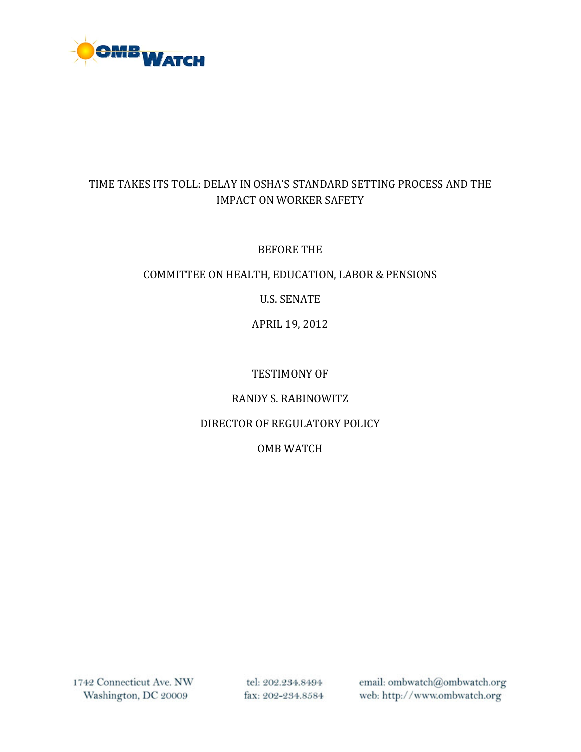

### TIME TAKES ITS TOLL: DELAY IN OSHA'S STANDARD SETTING PROCESS AND THE IMPACT ON WORKER SAFETY

#### BEFORE THE

#### COMMITTEE ON HEALTH, EDUCATION, LABOR & PENSIONS

U.S. SENATE

APRIL 19, 2012

#### TESTIMONY OF

### RANDY S. RABINOWITZ

### DIRECTOR OF REGULATORY POLICY

### OMB WATCH

1742 Connecticut Ave. NW Washington, DC 20009

tel: 202.234.8494 fax: 202-234.8584 email: ombwatch@ombwatch.org web: http://www.ombwatch.org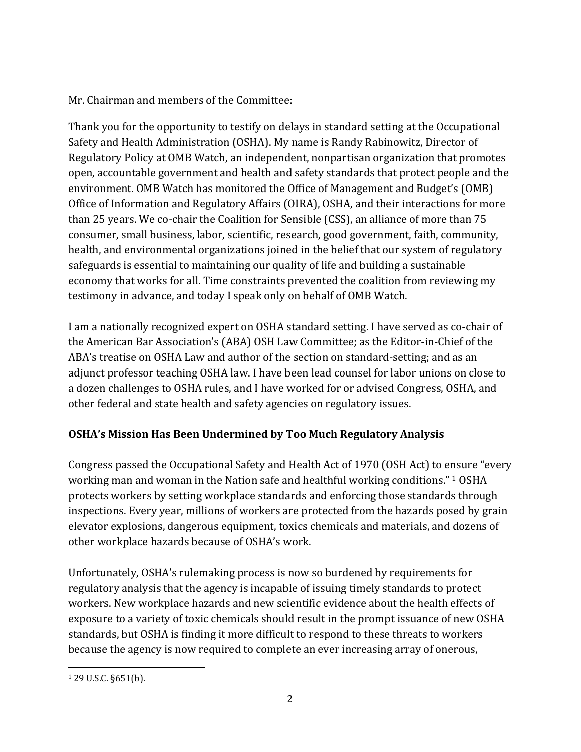## Mr. Chairman and members of the Committee:

Thank you for the opportunity to testify on delays in standard setting at the Occupational Safety and Health Administration (OSHA). My name is Randy Rabinowitz, Director of Regulatory Policy at OMB Watch, an independent, nonpartisan organization that promotes open, accountable government and health and safety standards that protect people and the environment. OMB Watch has monitored the Office of Management and Budget's (OMB) Office of Information and Regulatory Affairs (OIRA), OSHA, and their interactions for more than 25 years. We co-chair the Coalition for Sensible (CSS), an alliance of more than 75 consumer, small business, labor, scientific, research, good government, faith, community, health, and environmental organizations joined in the belief that our system of regulatory safeguards is essential to maintaining our quality of life and building a sustainable economy that works for all. Time constraints prevented the coalition from reviewing my testimony in advance, and today I speak only on behalf of OMB Watch.

I am a nationally recognized expert on OSHA standard setting. I have served as co‐chair of the American Bar Association's (ABA) OSH Law Committee; as the Editor‐in‐Chief of the ABA's treatise on OSHA Law and author of the section on standard‐setting; and as an adjunct professor teaching OSHA law. I have been lead counsel for labor unions on close to a dozen challenges to OSHA rules, and I have worked for or advised Congress, OSHA, and other federal and state health and safety agencies on regulatory issues.

# **OSHA's Mission Has Been Undermined by Too Much Regulatory Analysis**

Congress passed the Occupational Safety and Health Act of 1970 (OSH Act) to e[n](#page-1-0)sure "every working man and woman in the Nation safe and healthful working conditions." 1 OSHA protects workers by setting workplace standards and enforcing those standards through inspections. Every year, millions of workers are protected from the hazards posed by grain elevator explosions, dangerous equipment, toxics chemicals and materials, and dozens of other workplace hazards because of OSHA's work.

Unfortunately, OSHA's rulemaking process is now so burdened by requirements for regulatory analysis that the agency is incapable of issuing timely standards to protect workers. New workplace hazards and new scientific evidence about the health effects of exposure to a variety of toxic chemicals should result in the prompt issuance of new OSHA standards, but OSHA is finding it more difficult to respond to these threats to workers because the agency is now required to complete an ever increasing array of onerous,

<span id="page-1-0"></span> 1 29 U.S.C. §651(b).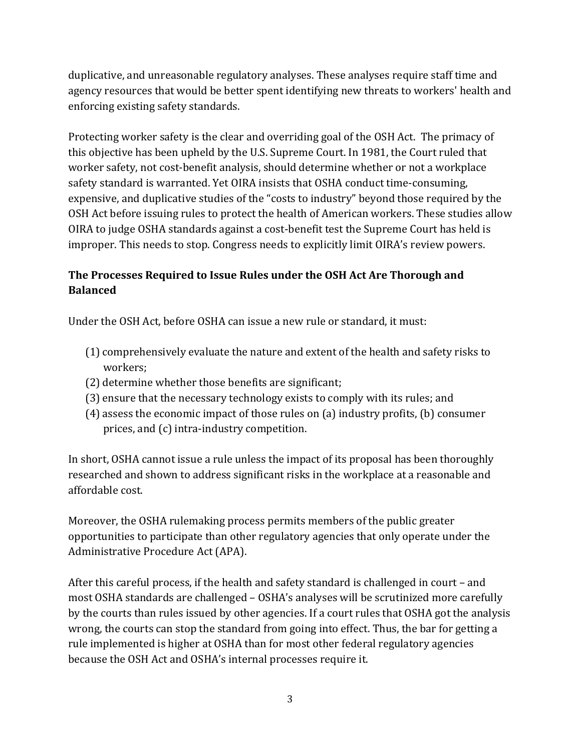duplicative, and unreasonable regulatory analyses. These analyses require staff time and agency resources that would be better spent identifying new threats to workers' health and enforcing existing safety standards.

Protecting worker safety is the clear and overriding goal of the OSH Act. The primacy of this objective has been upheld by the U.S. Supreme Court. In 1981, the Court ruled that worker safety, not cost-benefit analysis, should determine whether or not a workplace safety standard is warranted. Yet OIRA insists that OSHA conduct time-consuming, expensive, and duplicative studies of the "costs to industry" beyond those required by the OSH Act before issuing rules to protect the health of American workers. These studies allow OIRA to judge OSHA standards against a cost-benefit test the Supreme Court has held is mproper. This needs to stop. Congress needs to explicitly limit OIRA's review powers. i

## **The Processes Required to Issue Rules under the OSH Act Are Thorough and Balanced**

Under the OSH Act, before OSHA can issue a new rule or standard, it must:

- (1) comprehensively evaluate the nature and extent of the health and safety risks to workers;
- (2) determine whether those benefits are significant;
- (3) ensure that the necessary technology exists to comply with its rules; and
- (4) assess the economic impact of those rules on (a) industry profits, (b) consumer prices, and (c) intra‐industry competition.

In short, OSHA cannot issue a rule unless the impact of its proposal has been thoroughly researched and shown to address significant risks in the workplace at a reasonable and affordable cost.

Moreover, the OSHA rulemaking process permits members of the public greater opportunities to participate than other regulatory agencies that only operate under the Administrative Procedure Act (APA).

After this careful process, if the health and safety standard is challenged in court – and most OSHA standards are challenged – OSHA's analyses will be scrutinized more carefully by the courts than rules issued by other agencies. If a court rules that OSHA got the analysis wrong, the courts can stop the standard from going into effect. Thus, the bar for getting a rule implemented is higher at OSHA than for most other federal regulatory agencies because the OSH Act and OSHA's internal processes require it.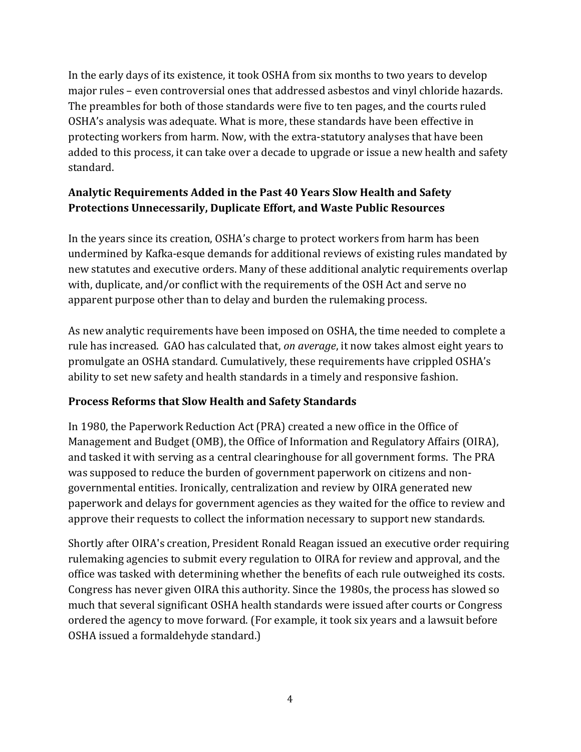In the early days of its existence, it took OSHA from six months to two years to develop major rules – even controversial ones that addressed asbestos and vinyl chloride hazards. The preambles for both of those standards were five to ten pages, and the courts ruled OSHA's analysis was adequate. What is more, these standards have been effective in protecting workers from harm. Now, with the extra‐statutory analyses that have been added to this process, it can take over a decade to upgrade or issue a new health and safety standard.

## **Analytic Requirements Added in the Past 40 Years Slow Health and Safety Protections Unnecessarily, Duplicate Effort, and Waste Public Resources**

In the years since its creation, OSHA's charge to protect workers from harm has been undermined by Kafka‐esque demands for additional reviews of existing rules mandated by new statutes and executive orders. Many of these additional analytic requirements overlap with, duplicate, and/or conflict with the requirements of the OSH Act and serve no apparent purpose other than to delay and burden the rulemaking process.

As new analytic requirements have been imposed on OSHA, the time needed to complete a rule has increased. GAO has calculated that, *on average*, it now takes almost eight years to promulgate an OSHA standard. Cumulatively, these requirements have crippled OSHA's ability to set new safety and health standards in a timely and responsive fashion.

### **Process Reforms that Slow Health and Safety Standards**

In 1980, the Paperwork Reduction Act (PRA) created a new office in the Office of Management and Budget (OMB), the Office of Information and Regulatory Affairs (OIRA), and tasked it with serving as a central clearinghouse for all government forms. The PRA was supposed to reduce the burden of government paperwork on citizens and non‐ governmental entities. Ironically, centralization and review by OIRA generated new paperwork and delays for government agencies as they waited for the office to review and approve their requests to collect the information necessary to support new standards.

Shortly after OIRA's creation, President Ronald Reagan issued an executive order requiring rulemaking agencies to submit every regulation to OIRA for review and approval, and the office was tasked with determining whether the benefits of each rule outweighed its costs. Congress has never given OIRA this authority. Since the 1980s, the process has slowed so much that several significant OSHA health standards were issued after courts or Congress ordered the agency to move forward. (For example, it took six years and a lawsuit before OSHA issued a formaldehyde standard.)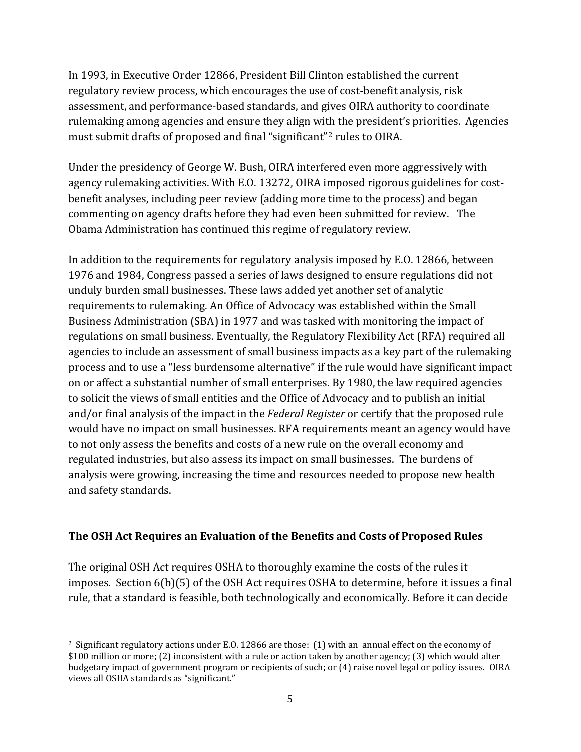In 1993, in Executive Order 12866, President Bill Clinton established the current regulatory review process, which encourages the use of cost-benefit analysis, risk assessment, and performance‐based standards, and gives OIRA authority to coordinate rulemaking among agencies and ensure they align with the president's priorities. Agencies must submit drafts of proposed and final "significant"<sup>2</sup> rules to OIRA.

Under the presidency of George W. Bush, OIRA interfered even more aggressively with agency rulemaking activities. With E.O. 13272, OIRA imposed rigorous guidelines for costbenefit analyses, including peer review (adding more time to the process) and began commenting on agency drafts before they had even been submitted for review. The Obama Administration has continued this regime of regulatory review.

In addition to the requirements for regulatory analysis imposed by E.O. 12866, between 1976 and 1984, Congress passed a series of laws designed to ensure regulations did not unduly burden small businesses. These laws added yet another set of analytic requirements to rulemaking. An Office of Advocacy was established within the Small Business Administration (SBA) in 1977 and was tasked with monitoring the impact of regulations on small business. Eventually, the Regulatory Flexibility Act (RFA) required all agencies to include an assessment of small business impacts as a key part of the rulemaking process and to use a "less burdensome alternative" if the rule would have significant impact on or affect a substantial number of small enterprises. By 1980, the law required agencies to solicit the views of small entities and the Office of Advocacy and to publish an initial and/or final analysis of the impact in the *Federal Register* or certify that the proposed rule would have no impact on small businesses. RFA requirements meant an agency would have to not only assess the benefits and costs of a new rule on the overall economy and regulated industries, but also assess its impact on small businesses. The burdens of nalysis were growing, increasing the time and resources needed to propose new health a and safety standards.

### **The OSH Act Requires an Evaluation of the Benefits and Costs of Proposed Rul es**

The original OSH Act requires OSHA to thoroughly examine the costs of the rules it imposes. Section 6(b)(5) of the OSH Act requires OSHA to determine, before it issues a final rule, that a standard is feasible, both technologically and economically. Before it can decide

 2 Significant regulatory actions under E.O. 12866 are those: (1) with an annual effect on the economy of \$100 million or more; (2) inconsistent with a rule or action taken by another agency; (3) which would alter budgetary impact of government program or recipients of such; or (4) raise novel legal or policy issues. OIRA views all OSHA standards as "significant."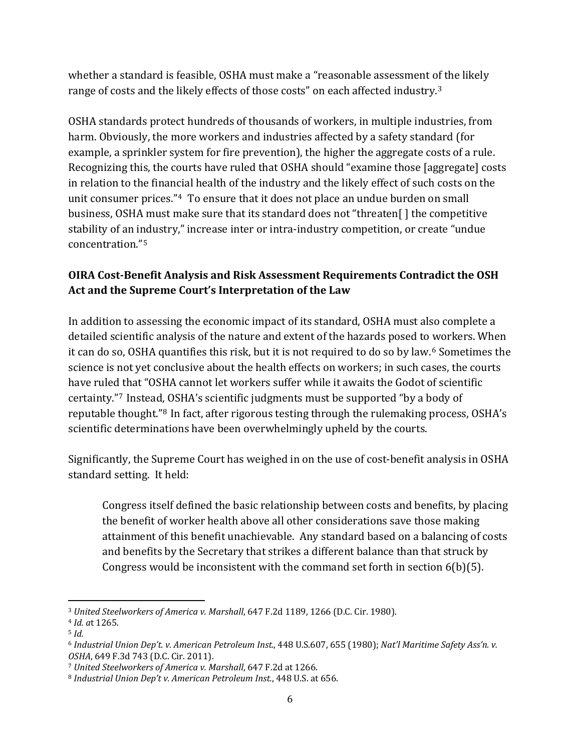whether a standard is feasible, OSHA must make a "reasonable assessment of the likely range of costs and the likely effects of those costs" on each affected industry.<sup>3</sup>

OSHA standards protect hundreds of thousands of workers, in multiple industries, from harm. Obviously, the more workers and industries affected by a safety standard (for example, a sprinkler system for fire prevention), the higher the aggregate costs of a rule. Recognizing this, the courts have ruled that OSHA should "examine those [aggregate] costs in relation to the financial health of the industry and the likely effect of such costs on the unit consumer prices."[4](#page-5-0) To ensure that it does not place an undue burden on small business, OSHA must make sure that its standard does not "threaten[ ] the competitive stability of an i[nd](#page-5-0)ustry," increase inter or intra-industry competition, or create "undue concentration."<sup>5</sup>

## **OIRA CostBenefit Analysis and Risk Assessment Requirements Contradict the OSH Act and the Supreme Court's Interpretation of the Law**

In addition to assessing the economic impact of its standard, OSHA must also complete a detailed scientific analysis of the nature and extent of the hazards posed to workers. When it can do so, OSHA quantifies this risk, but it is not required to do so by law.[6](#page-5-1) Sometimes the science is not yet conclusive about the health effects on workers; in such cases, the courts have ruled that "OSHA cannot let workers suffer while it awaits the Godot of scientific certainty."[7](#page-5-2) Instead[, O](#page-5-3)SHA's scientific judgments must be supported "by a body of reputable thought."8 In fact, after rigorous testing through the rulemaking process, OSHA's scientific determinations have been overwhelmingly upheld by the courts.

Significantly, the Supreme Court has weighed in on the use of cost-benefit analysis in OSHA standard setting. It held:

Congress itself defined the basic relationship between costs and benefits, by placing the benefit of worker health above all other considerations save those making attainment of this benefit unachievable. Any standard based on a balancing of costs and benefits by the Secretary that strikes a different balance than that struck by Congress would be inconsistent with the command set forth in section 6(b)(5).

<sup>3</sup> *ed Steel Un ti workers of America v. Marshall*, 647 F.2d 1189, 1266 (D.C. Cir. 1980).

*Id. a*t 1265. 4

<span id="page-5-0"></span> $5$  *Id.* 

<span id="page-5-1"></span><sup>6</sup> *Industrial Union Dep't. v. American Petrole* , 655 (1980); *Nat'l Maritime Safety Ass'n. v. um Inst.*, 448 U.S.607 *SHA*, 649 F.3d 743 (D.C. Cir. 2011). *O*

<span id="page-5-2"></span><sup>7</sup> *United Steelworkers of America v. Marshall*, 647 F.2d at 1266.

<span id="page-5-3"></span><sup>8</sup> *Industrial Union Dep't v. American Petroleum Inst.*, 448 U.S. at 656.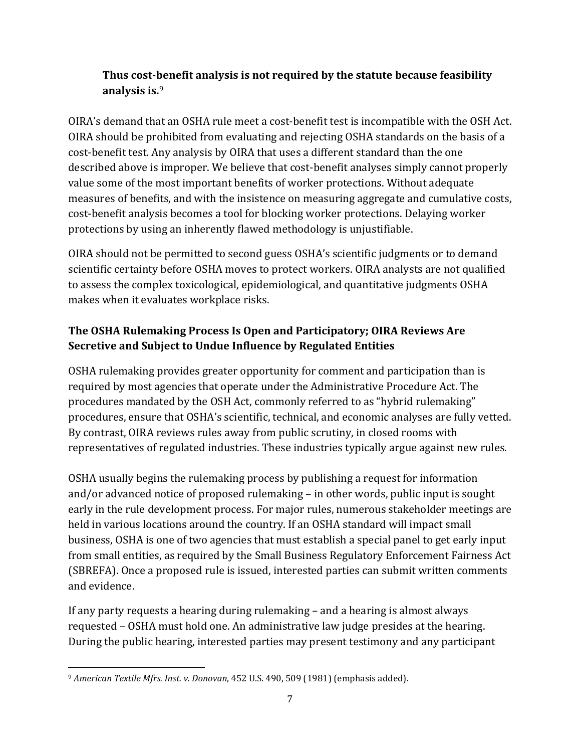## **Thus costbenefit analysis is not required by the statute because feasibility** analysis is.<sup>9</sup>

OIRA's demand that an OSHA rule meet a cost‐benefit test is incompatible with the OSH Act. OIRA should be prohibited from evaluating and rejecting OSHA standards on the basis of a cost-benefit test. Any analysis by OIRA that uses a different standard than the one described above is improper. We believe that cost-benefit analyses simply cannot properly value some of the most important benefits of worker protections. Without adequate measures of benefits, and with the insistence on measuring aggregate and cumulative costs, cost‐benefit analysis becomes a tool for blocking worker protections. Delaying worker protections by using an inherently flawed methodology is unjustifiable.

OIRA should not be permitted to second guess OSHA's scientific judgments or to demand scientific certainty before OSHA moves to protect workers. OIRA analysts are not qualified to assess the complex toxicological, epidemiological, and quantitative judgments OSHA makes when it evaluates workplace risks.

## **The OSHA Rulemaking Process Is Open and Participatory; OIRA Reviews Are Secretive and Subject to Undue Influence by Regulated Entities**

OSHA rulemaking provides greater opportunity for comment and participation than is required by most agencies that operate under the Administrative Procedure Act. The procedures mandated by the OSH Act, commonly referred to as "hybrid rulemaking" procedures, ensure that OSHA's scientific, technical, and economic analyses are fully vetted. By contrast, OIRA reviews rules away from public scrutiny, in closed rooms with representatives of regulated industries. These industries typically argue against new rules.

OSHA usually begins the rulemaking process by publishing a request for information and/or advanced notice of proposed rulemaking – in other words, public input is sought early in the rule development process. For major rules, numerous stakeholder meetings are held in various locations around the country. If an OSHA standard will impact small business, OSHA is one of two agencies that must establish a special panel to get early input from small entities, as required by the Small Business Regulatory Enforcement Fairness Act (SBREFA). Once a proposed rule is issued, interested parties can submit written comments and evidence.

If any party requests a hearing during rulemaking – and a hearing is almost always requested – OSHA must hold one. An administrative law judge presides at the hearing. During the public hearing, interested parties may present testimony and any participant

 <sup>9</sup> *American Textile Mfrs. Inst. v. Donovan*, 452 U.S. 490, 509 (1981) (emphasis added).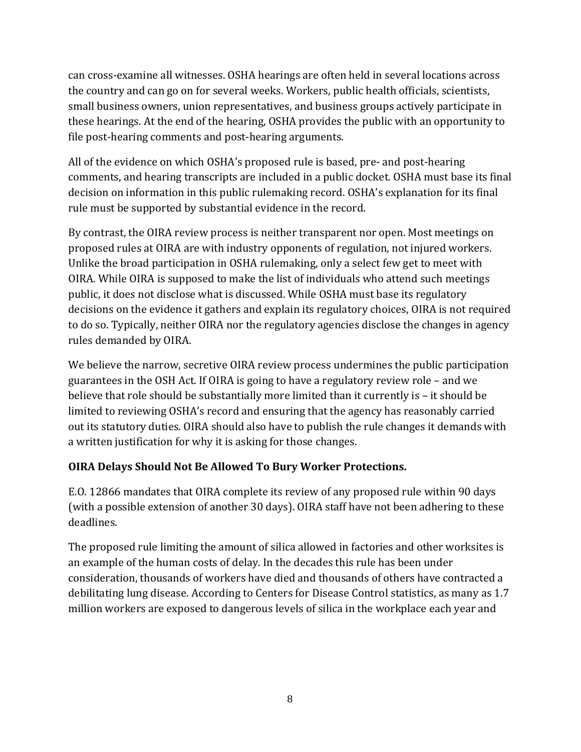can cross‐examine all witnesses. OSHA hearings are often held in several locations across the country and can go on for several weeks. Workers, public health officials, scientists, small business owners, union representatives, and business groups actively participate in these hearings. At the end of the hearing, OSHA provides the public with an opportunity to file post-hearing comments and post-hearing arguments.

All of the evidence on which OSHA's proposed rule is based, pre- and post-hearing comments, and hearing transcripts are included in a public docket. OSHA must base its final decision on information in this public rulemaking record. OSHA's explanation for its final rule must be supported by substantial evidence in the record.

By contrast, the OIRA review process is neither transparent nor open. Most meetings on proposed rules at OIRA are with industry opponents of regulation, not injured workers. Unlike the broad participation in OSHA rulemaking, only a select few get to meet with OIRA. While OIRA is supposed to make the list of individuals who attend such meetings public, it does not disclose what is discussed. While OSHA must base its regulatory decisions on the evidence it gathers and explain its regulatory choices, OIRA is not required to do so. Typically, neither OIRA nor the regulatory agencies disclose the changes in agency rules demanded by OIRA.

We believe the narrow, secretive OIRA review process undermines the public participation guarantees in the OSH Act. If OIRA is going to have a regulatory review role – and we believe that role should be substantially more limited than it currently is – it should be limited to reviewing OSHA's record and ensuring that the agency has reasonably carried out its statutory duties. OIRA should also have to publish the rule changes it demands with a written justification for why it is asking for those changes.

## **OIRA Delays Should Not Be Allowed To Bury Worker Protections.**

E.O. 12866 mandates that OIRA complete its review of any proposed rule within 90 days (with a possible extension of another 30 days). OIRA staff have not been adhering to these deadlines.

The proposed rule limiting the amount of silica allowed in factories and other worksites is an example of the human costs of delay. In the decades this rule has been under consideration, thousands of workers have died and thousands of others have contracted a debilitating lung disease. According to Centers for Disease Control statistics, as many as 1.7 million workers are exposed to dangerous levels of silica in the workplace each year and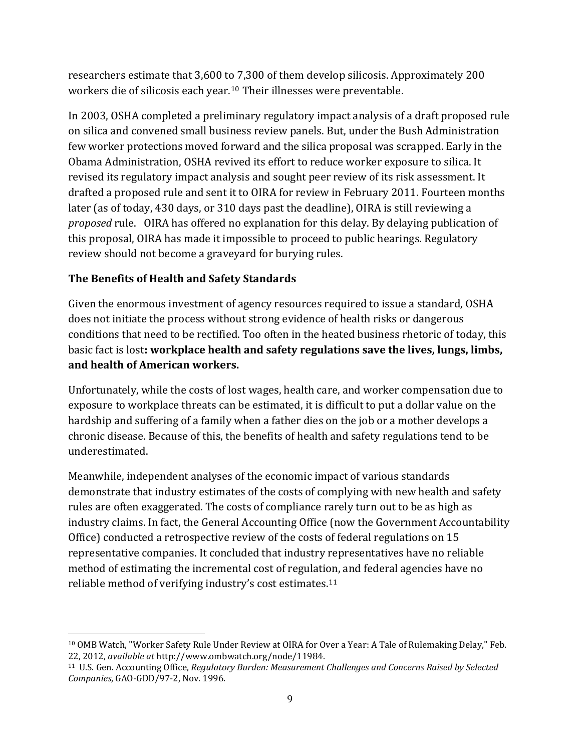researchers estimate that 3,600 to 7,300 of them develop silicosis. Approximately 200 workers die of silicosis each year.10 Their illnesses were preventable.

In 2003, OSHA completed a preliminary regulatory impact analysis of a draft proposed rule on silica and convened small business review panels. But, under the Bush Administration few worker protections moved forward and the silica proposal was scrapped. Early in the Obama Administration, OSHA revived its effort to reduce worker exposure to silica. It revised its regulatory impact analysis and sought peer review of its risk assessment. It drafted a proposed rule and sent it to OIRA for review in February 2011. Fourteen months later (as of today, 430 days, or 310 days past the deadline), OIRA is still reviewing a *proposed* rule. OIRA has offered no explanation for this delay. By delaying publication of this proposal, OIRA has made it impossible to proceed to public hearings. Regulatory review should not become a graveyard for burying rules.

## **The Benefits of Health and Safety Standards**

Given the enormous investment of agency resources required to issue a standard, OSHA does not initiate the process without strong evidence of health risks or dangerous conditions that need to be rectified. Too often in the heated business rhetoric of today, this basic fact is lost**: workplace health and safety regulations save the lives, lungs, limbs, and health of American workers.** 

Unfortunately, while the costs of lost wages, health care, and worker compensation due to exposure to workplace threats can be estimated, it is difficult to put a dollar value on the hardship and suffering of a family when a father dies on the job or a mother develops a chronic disease. Because of this, the benefits of health and safety regulations tend to be underestimated.

Meanwhile, independent analyses of the economic impact of various standards demonstrate that industry estimates of the costs of complying with new health and safety rules are often exaggerated. The costs of compliance rarely turn out to be as high as industry claims. In fact, the General Accounting Office (now the Government Accountability Office) conducted a retrospective review of the costs of federal regulations on 15 representative companies. It concluded that industry representatives have no reliable method of estimating the incremental cost of regulati[on](#page-8-0), and federal agencies have no reliable method of verifying industry's cost estimates.<sup>11</sup>

  $^{10}$  OMB Watch, "Worker Safety Rule Under Review at OIRA for Over a Year: A Tale of Rulemaking Delay," Feb. 22, 2012, *available at* http://www.ombwatch.org/node/11984.

<span id="page-8-0"></span><sup>11</sup> U.S. Gen. Accounting Office, *Regulatory Burden: Measurement Challenges and Concerns Raised by Selected Companies*, GAO‐GDD/97‐2, Nov. 1996.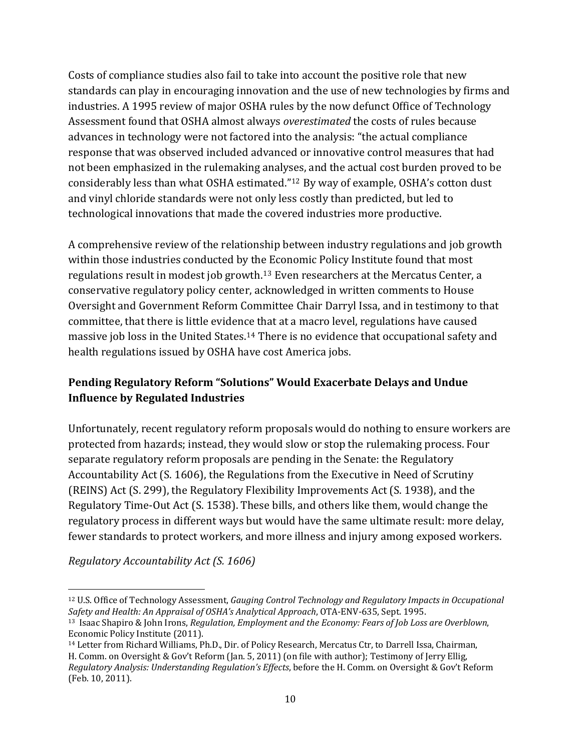Costs of compliance studies also fail to take into account the positive role that new standards can play in encouraging innovation and the use of new technologies by firms and industries. A 1995 review of major OSHA rules by the now defunct Office of Technology Assessment found that OSHA almost always *overestimated* the costs of rules because advances in technology were not factored into the analysis: "the actual compliance response that was observed included advanced or innovative control measures that had not been emphasized in the rulemaking analy[ses](#page-9-0), and the actual cost burden proved to be considerably less than what OSHA estimated."12 By way of example, OSHA's cotton dust and vinyl chloride standards were not only less costly than predicted, but led to technological innovations that made the covered industries more productive.

A comprehensive review of the relationship between industry regulations and job growth within those industries conducted by the Economic Policy Institute found that most regulations result in modest job growth.[13](#page-9-1) Even researchers at the Mercatus Center, a conservative regulatory policy center, acknowledged in written comments to House Oversight and Government Reform Committee Chair Darryl Issa, and in testimony to that committee, that there is little eviden[ce](#page-9-2) that at a macro level, regulations have caused massive job loss in the United States.<sup>14</sup> There is no evidence that occupational safety and h ealth regulations issued by OSHA have cost America jobs.

## **Pending Regulatory Reform "Solutions" Would Exacerbate Delays and Undue Influence by Regulated Industries**

Unfortunately, recent regulatory reform proposals would do nothing to ensure workers are protected from hazards; instead, they would slow or stop the rulemaking process. Four separate regulatory reform proposals are pending in the Senate: the Regulatory Accountability Act (S. 1606), the Regulations from the Executive in Need of Scrutiny (REINS) Act (S. 299), the Regulatory Flexibility Improvements Act (S. 1938), and the Regulatory Time‐Out Act (S. 1538). These bills, and others like them, would change the regulatory process in different ways but would have the same ultimate result: more delay, fewer standards to protect workers, and more illness and injury among exposed workers.

*Regulatory Accountability Act (S. 1606)*

<span id="page-9-0"></span> <sup>12</sup> U.S. Office of Technology Assessment, Gauging Control Technology and Regulatory Impacts in Occupational *OSHA's Analytical Approach*, OTA‐ENV‐635, Sept. 1995. *Safety and Health: An Appraisal of*

<span id="page-9-1"></span><sup>13</sup> Isaac Shapiro & John Irons, *Regulation, Employment and the Economy: Fears of Job Loss are Overblown*, Economic Policy Institute (2011).

<span id="page-9-2"></span><sup>14</sup> Letter from Richard Williams, Ph.D., Dir. of Policy Research, Mercatus Ctr, to Darrell Issa, Chairman, H. Comm. on Oversight & Gov't Reform (Jan. 5, 2011) (on file with author); Testimony of Jerry Ellig, *Regulatory Analysis: Understanding Regulation's Effects*, before the H. Comm. on Oversight & Gov't Reform (Feb. 10, 2011).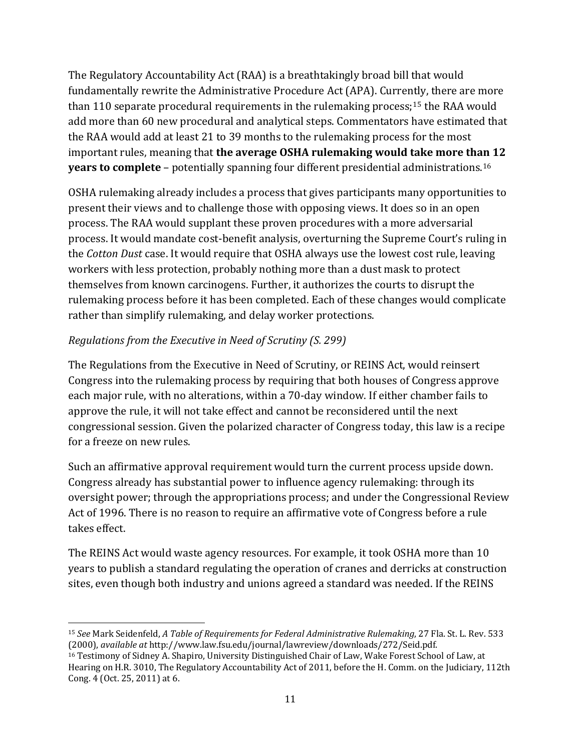The Regulatory Accountability Act (RAA) is a breathtakingly broad bill that would fundamentally rewrite the Administrative Procedure Act (APA). Curre[ntly](#page-10-0), there are more than 110 separate procedural requirements in the rulemaking process;<sup>15</sup> the RAA would add more than 60 new procedural and analytical steps. Commentators have estimated that the RAA would add at least 21 to 39 months to the rulemaking process for the most important rules, meaning that **the average OSHA rulemaking would take more than 12 years to complete** – potentially spanning four different presidential administrations.16

OSHA rulemaking already includes a process that gives participants many opportunities to present their views and to challenge those with opposing views. It does so in an open process. The RAA would supplant these proven procedures with a more adversarial process. It would mandate cost‐benefit analysis, overturning the Supreme Court's ruling in the *Cotton Dust* case. It would require that OSHA always use the lowest cost rule, leaving workers with less protection, probably nothing more than a dust mask to protect themselves from known carcinogens. Further, it authorizes the courts to disrupt the rulemaking process before it has been completed. Each of these changes would complicate rather than simplify rulemaking, and delay worker protections.

### *Regulations from the Executive in Need of Scrutiny (S. 299)*

The Regulations from the Executive in Need of Scrutiny, or REINS Act, would reinsert Congress into the rulemaking process by requiring that both houses of Congress approve each major rule, with no alterations, within a 70‐day window. If either chamber fails to approve the rule, it will not take effect and cannot be reconsidered until the next congressional session. Given the polarized character of Congress today, this law is a recipe for a freeze on new rules.

Such an affirmative approval requirement would turn the current process upside down. Congress already has substantial power to influence agency rulemaking: through its oversight power; through the appropriations process; and under the Congressional Review Act of 1996. There is no reason to require an affirmative vote of Congress before a rule takes effect.

The REINS Act would waste agency resources. For example, it took OSHA more than 10 years to publish a standard regulating the operation of cranes and derricks at construction sites, even though both industry and unions agreed a standard was needed. If the REINS

<span id="page-10-0"></span> <sup>15</sup> 533 *See* Mark Seidenfeld, *A Table of Requirements for Federal Administrative Rulemaking*, 27 Fla. St. L. Rev. (2000), *available at* http://www.law.fsu.edu/journal/lawreview/downloads/272/Seid.pdf.

<sup>16</sup> Testimony of Sidney A. Shapiro, University Distinguished Chair of Law, Wake Forest School of Law, at Hearing on H.R. 3010, The Regulatory Accountability Act of 2011, before the H. Comm. on the Judiciary, 112th Cong. 4 (Oct. 25, 2011) at 6.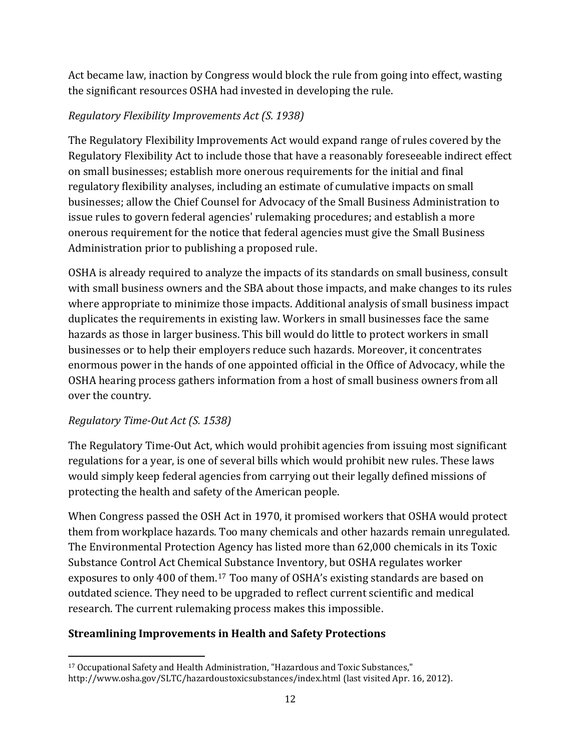Act became law, inaction by Congress would block the rule from going into effect, wasting the significant resources OSHA had invested in developing the rule.

## *Regulatory Flexibility Improvements Act (S. 1938)*

The Regulatory Flexibility Improvements Act would expand range of rules covered by the Regulatory Flexibility Act to include those that have a reasonably foreseeable indirect effect on small businesses; establish more onerous requirements for the initial and final regulatory flexibility analyses, including an estimate of cumulative impacts on small businesses; allow the Chief Counsel for Advocacy of the Small Business Administration to issue rules to govern federal agencies' rulemaking procedures; and establish a more onerous requirement for the notice that federal agencies must give the Small Business Administration prior to publishing a proposed rule.

OSHA is already required to analyze the impacts of its standards on small business, consult with small business owners and the SBA about those impacts, and make changes to its rules where appropriate to minimize those impacts. Additional analysis of small business impact duplicates the requirements in existing law. Workers in small businesses face the same hazards as those in larger business. This bill would do little to protect workers in small businesses or to help their employers reduce such hazards. Moreover, it concentrates enormous power in the hands of one appointed official in the Office of Advocacy, while the OSHA hearing process gathers information from a host of small business owners from all over the country.

## *Regulatory TimeOut Act (S. 1538)*

The Regulatory Time-Out Act, which would prohibit agencies from issuing most significant regulations for a year, is one of several bills which would prohibit new rules. These laws would simply keep federal agencies from carrying out their legally defined missions of protecting the health and safety of the American people.

When Congress passed the OSH Act in 1970, it promised workers that OSHA would protect them from workplace hazards. Too many chemicals and other hazards remain unregulated. The Environmental Protection Agency has listed more than 62,000 chemicals in its Toxic Substance Control Act Chemical Substance Inventory, but OSHA regulates worker exposures to only 400 of them.[17](#page-11-0) Too many of OSHA's existing standards are based on outdated science. They need to be upgraded to reflect current scientific and medical research. The current rulemaking process makes this impossible.

# **Streamlining Improvements in Health and Safety Protections**

<span id="page-11-0"></span> 17 Occupational Safety and Health Administration, "Hazardous and Toxic Substances," http://www.osha.gov/SLTC/hazardoustoxicsubstances/index.html (last visited Apr. 16, 2012).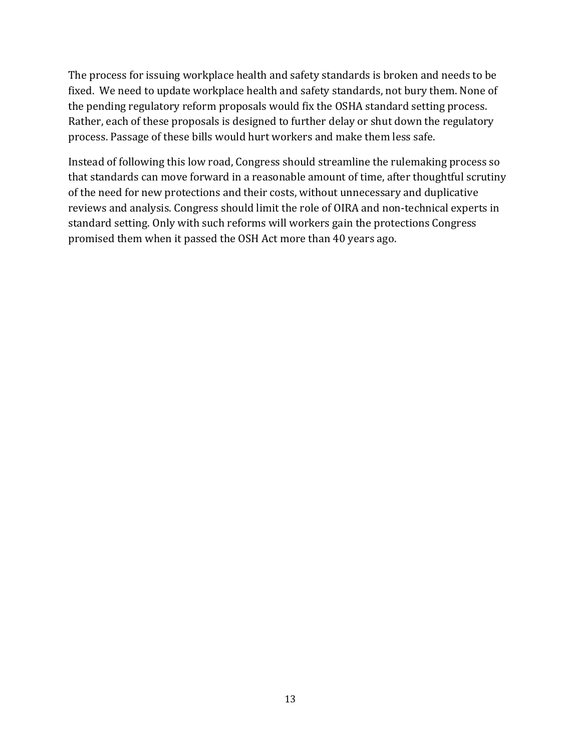The process for issuing workplace health and safety standards is broken and needs to be fixed. We need to update workplace health and safety standards, not bury them. None of the pending regulatory reform proposals would fix the OSHA standard setting process. Rather, each of these proposals is designed to further delay or shut down the regulatory process. Passage of these bills would hurt workers and make them less safe.

Instead of following this low road, Congress should streamline the rulemaking process so that standards can move forward in a reasonable amount of time, after thoughtful scrutiny of the need for new protections and their costs, without unnecessary and duplicative reviews and analysis. Congress should limit the role of OIRA and non‐technical experts in standard setting. Only with such reforms will workers gain the protections Congress promised them when it passed the OSH Act more than 40 years ago.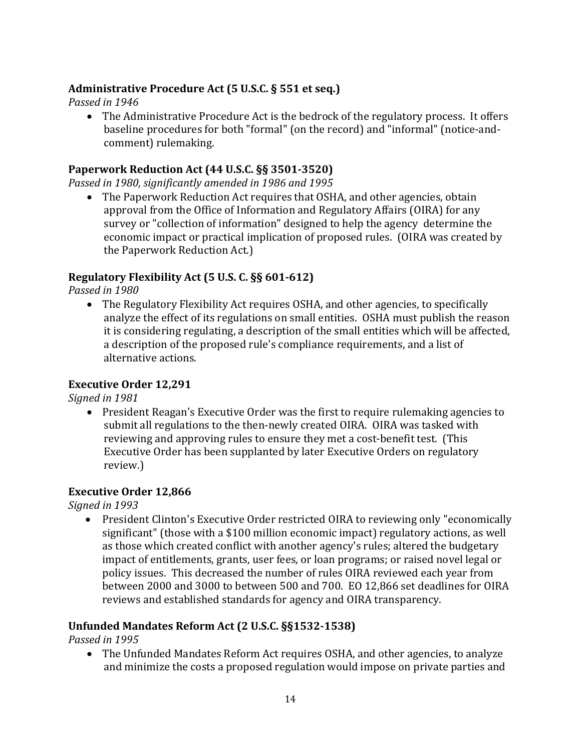## **Administrative Procedure Act (5 U.S.C. § 551 et seq.)**

*in 1946 Passed*

• The Administrative Procedure Act is the bedrock of the regulatory process. It offers baseline procedures for both "formal" (on the record) and "informal" (notice-andcomment) rulemaking.

#### **Paperwork Reduction Act (44 U.S.C. §§ 35013520)**

*in 1980, significantly amended in 1986 and 1995 Passed*

• The Paperwork Reduction Act requires that OSHA, and other agencies, obtain approval from the Office of Information and Regulatory Affairs (OIRA) for any survey or "collection of information" designed to help the agency determine the economic impact or practical implication of proposed rules. (OIRA was created by the Paperwork Reduction Act.)

### **Regulatory Flexibility Act (5 U.S. C. §§ 601612)**

*in 1980 Passed*

 The Regulatory Flexibility Act requires OSHA, and other agencies, to specifically analyze the effect of its regulations on small entities. OSHA must publish the reason it is considering regulating, a description of the small entities which will be affected, a description of the proposed rule's compliance requirements, and a list of alternative actions.

### **Executive Order 12,291**

*in 1981 Signed*

 President Reagan's Executive Order was the first to require rulemaking agencies to submit all regulations to the then-newly created OIRA. OIRA was tasked with reviewing and approving rules to ensure they met a cost-benefit test. (This Executive Order has been supplanted by later Executive Orders on regulatory review.)

### **Executive Order 12,866**

*in 1993 Signed*

• President Clinton's Executive Order restricted OIRA to reviewing only "economically significant" (those with a \$100 million economic impact) regulatory actions, as well as those which created conflict with another agency's rules; altered the budgetary impact of entitlements, grants, user fees, or loan programs; or raised novel legal or policy issues. This decreased the number of rules OIRA reviewed each year from between 2000 and 3000 to between 500 and 700. EO 12,866 set deadlines for OIRA reviews and established standards for agency and OIRA transparency.

### **ed Mandates Reform Act (2 U.S.C. §§15321538) Unfund**

*in 1995 Passed*

 The Unfunded Mandates Reform Act requires OSHA, and other agencies, to analyze and minimize the costs a proposed regulation would impose on private parties and